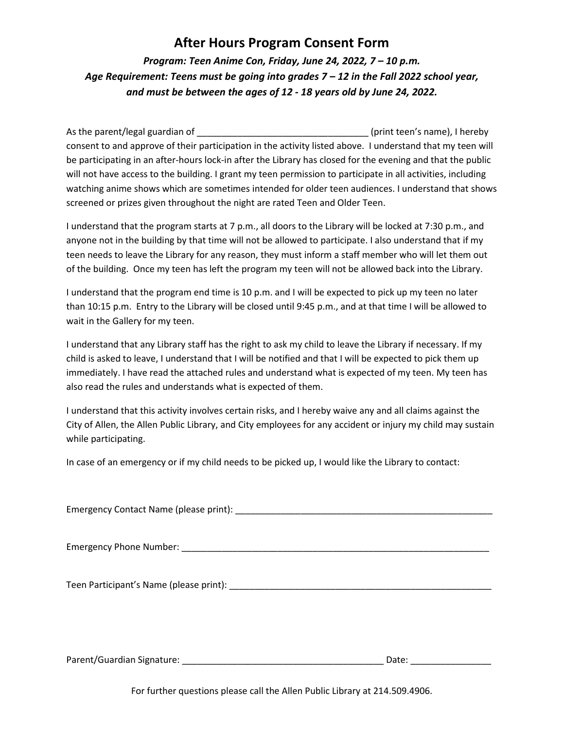## **After Hours Program Consent Form**

*Program: Teen Anime Con, Friday, June 24, 2022, 7 – 10 p.m. Age Requirement: Teens must be going into grades 7 – 12 in the Fall 2022 school year, and must be between the ages of 12 - 18 years old by June 24, 2022.*

As the parent/legal guardian of \_\_\_\_\_\_\_\_\_\_\_\_\_\_\_\_\_\_\_\_\_\_\_\_\_\_\_\_\_\_\_\_\_\_ (print teen's name), I hereby consent to and approve of their participation in the activity listed above. I understand that my teen will be participating in an after-hours lock-in after the Library has closed for the evening and that the public will not have access to the building. I grant my teen permission to participate in all activities, including watching anime shows which are sometimes intended for older teen audiences. I understand that shows screened or prizes given throughout the night are rated Teen and Older Teen.

I understand that the program starts at 7 p.m., all doors to the Library will be locked at 7:30 p.m., and anyone not in the building by that time will not be allowed to participate. I also understand that if my teen needs to leave the Library for any reason, they must inform a staff member who will let them out of the building. Once my teen has left the program my teen will not be allowed back into the Library.

I understand that the program end time is 10 p.m. and I will be expected to pick up my teen no later than 10:15 p.m. Entry to the Library will be closed until 9:45 p.m., and at that time I will be allowed to wait in the Gallery for my teen.

I understand that any Library staff has the right to ask my child to leave the Library if necessary. If my child is asked to leave, I understand that I will be notified and that I will be expected to pick them up immediately. I have read the attached rules and understand what is expected of my teen. My teen has also read the rules and understands what is expected of them.

I understand that this activity involves certain risks, and I hereby waive any and all claims against the City of Allen, the Allen Public Library, and City employees for any accident or injury my child may sustain while participating.

In case of an emergency or if my child needs to be picked up, I would like the Library to contact:

| Parent/Guardian Signature:<br>Date: |
|-------------------------------------|

For further questions please call the Allen Public Library at 214.509.4906.